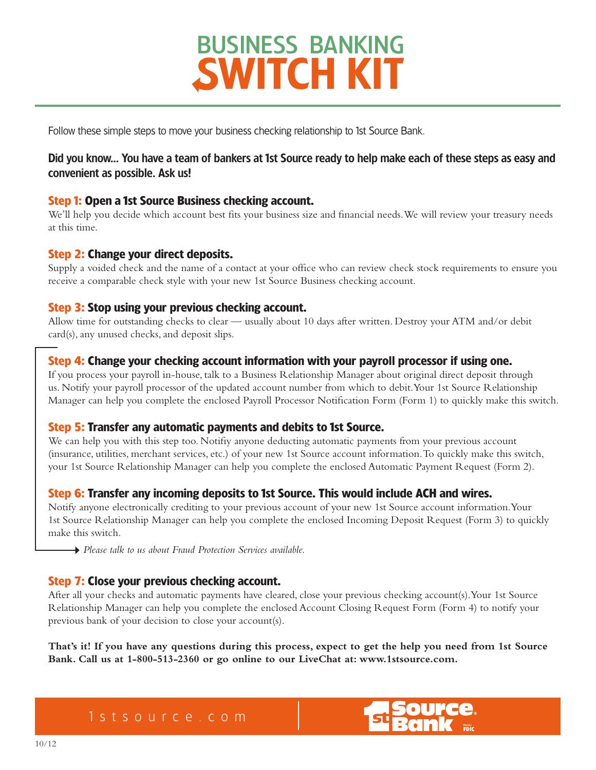Follow these simple steps to move your business checking relationship to 1st Source Bank.

### Did you know... You have a team of bankers at 1st Source ready to help make each of these steps as easy and convenient as possible. Ask us!

### **Step 1: Open a 1st Source Business checking account.**

We'll help you decide which account best fits your business size and financial needs. We will review your treasury needs at this time.

### **Step 2: Change your direct deposits.**

Supply a voided check and the name of a contact at your office who can review check stock requirements to ensure you receive a comparable check style with your new 1st Source Business checking account.

### **Step 3: Stop using your previous checking account.**

Allow time for outstanding checks to clear — usually about 10 days after written. Destroy your ATM and/or debit card(s), any unused checks, and deposit slips.

### **Step 4: Change your checking account information with your payroll processor if using one.**

If you process your payroll in-house, talk to a Business Relationship Manager about original direct deposit through us. Notify your payroll processor of the updated account number from which to debit. Your 1st Source Relationship Manager can help you complete the enclosed Payroll Processor Notification Form (Form 1) to quickly make this switch.

### **Step 5: Transfer any automatic payments and debits to 1st Source.**

We can help you with this step too. Notifiy anyone deducting automatic payments from your previous account (insurance, utilities, merchant services, etc.) of your new 1st Source account information. To quickly make this switch, your 1st Source Relationship Manager can help you complete the enclosed Automatic Payment Request (Form 2).

### **Step 6: Transfer any incoming deposits to 1st Source. This would include ACH and wires.**

Notify anyone electronically crediting to your previous account of your new 1st Source account information. Your 1st Source Relationship Manager can help you complete the enclosed Incoming Deposit Request (Form 3) to quickly make this switch.

*Please talk to us about Fraud Protection Services available.*

### **Step 7: Close your previous checking account.**

After all your checks and automatic payments have cleared, close your previous checking account(s). Your 1st Source Relationship Manager can help you complete the enclosed Account Closing Request Form (Form 4) to notify your previous bank of your decision to close your account(s).

**That's it! If you have any questions during this process, expect to get the help you need from 1st Source Bank. Call us at 1-800-513-2360 or go online to our LiveChat at: www.1stsource.com.**

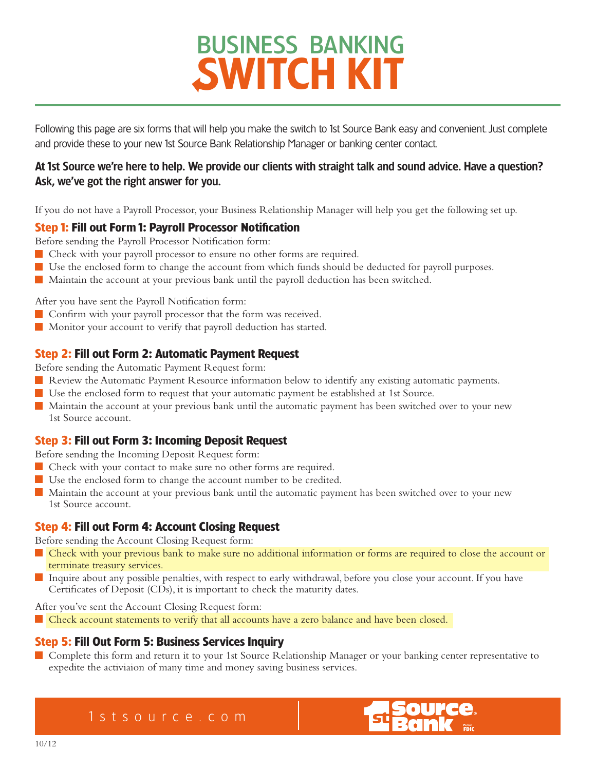Following this page are six forms that will help you make the switch to 1st Source Bank easy and convenient. Just complete and provide these to your new 1st Source Bank Relationship Manager or banking center contact.

### At 1st Source we're here to help. We provide our clients with straight talk and sound advice. Have a question? Ask, we've got the right answer for you.

If you do not have a Payroll Processor, your Business Relationship Manager will help you get the following set up.

### **Step 1: Fill out Form 1: Payroll Processor Notification**

Before sending the Payroll Processor Notification form:

- Check with your payroll processor to ensure no other forms are required.
- Use the enclosed form to change the account from which funds should be deducted for payroll purposes.
- Maintain the account at your previous bank until the payroll deduction has been switched.

After you have sent the Payroll Notification form:

- Confirm with your payroll processor that the form was received.
- Monitor your account to verify that payroll deduction has started.

### **Step 2: Fill out Form 2: Automatic Payment Request**

Before sending the Automatic Payment Request form:

- Review the Automatic Payment Resource information below to identify any existing automatic payments.
- Use the enclosed form to request that your automatic payment be established at 1st Source.
- Maintain the account at your previous bank until the automatic payment has been switched over to your new 1st Source account.

### **Step 3: Fill out Form 3: Incoming Deposit Request**

Before sending the Incoming Deposit Request form:

- Check with your contact to make sure no other forms are required.
- Use the enclosed form to change the account number to be credited.
- Maintain the account at your previous bank until the automatic payment has been switched over to your new 1st Source account.

### **Step 4: Fill out Form 4: Account Closing Request**

Before sending the Account Closing Request form:

- Check with your previous bank to make sure no additional information or forms are required to close the account or terminate treasury services.
- Inquire about any possible penalties, with respect to early withdrawal, before you close your account. If you have Certificates of Deposit (CDs), it is important to check the maturity dates.

After you've sent the Account Closing Request form:

Check account statements to verify that all accounts have a zero balance and have been closed.

### **Step 5: Fill Out Form 5: Business Services Inquiry**

Complete this form and return it to your 1st Source Relationship Manager or your banking center representative to expedite the activiaion of many time and money saving business services.

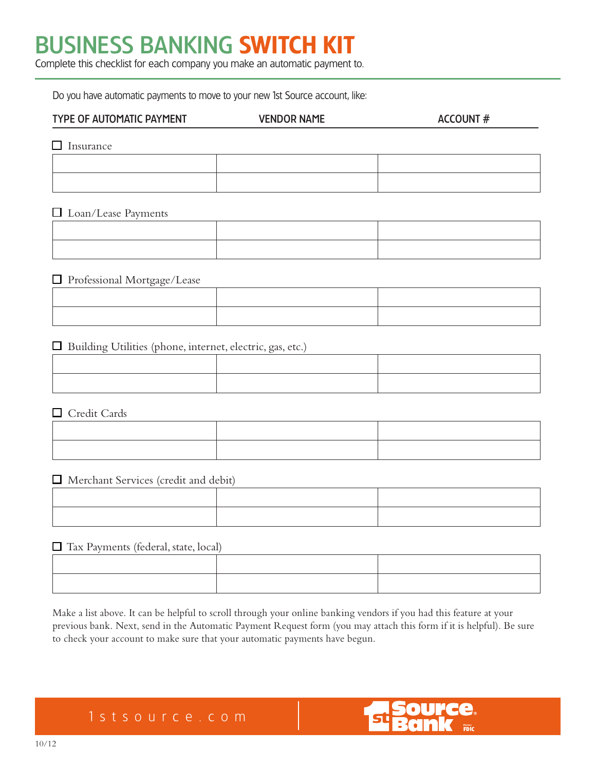Complete this checklist for each company you make an automatic payment to.

Do you have automatic payments to move to your new 1st Source account, like:

| <b>TYPE OF AUTOMATIC PAYMENT</b> | <b>VENDOR NAME</b> | <b>ACCOUNT #</b> |
|----------------------------------|--------------------|------------------|
| Insurance                        |                    |                  |
|                                  |                    |                  |
|                                  |                    |                  |
| $\Box$ Loan/Lease Payments       |                    |                  |

#### □ Professional Mortgage/Lease

| . |  |
|---|--|
|   |  |
|   |  |

 $\Box$  Building Utilities (phone, internet, electric, gas, etc.)

□ Credit Cards

Merchant Services (credit and debit)

#### Tax Payments (federal, state, local)

Make a list above. It can be helpful to scroll through your online banking vendors if you had this feature at your previous bank. Next, send in the Automatic Payment Request form (you may attach this form if it is helpful). Be sure to check your account to make sure that your automatic payments have begun.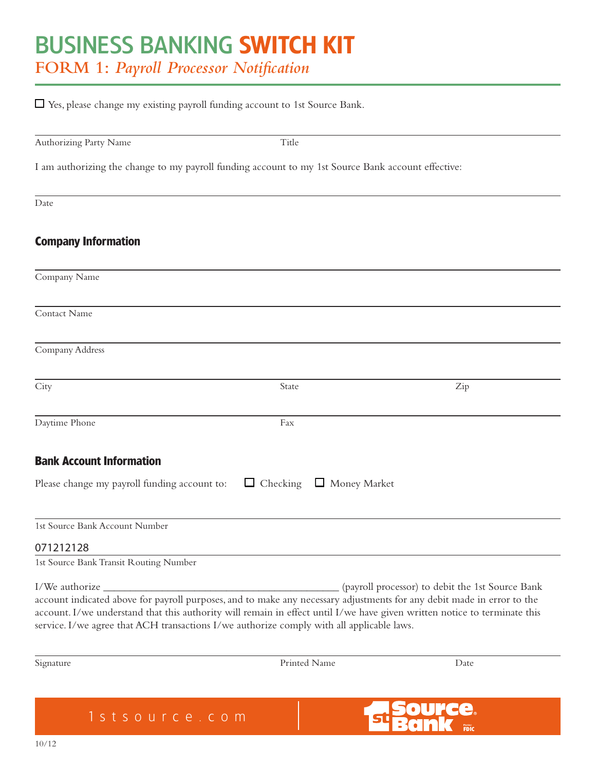### BUSINESS BANKING SWITCH KIT **FORM 1:** *Payroll Processor Notification*

| Authorizing Party Name                                                                             | Title |                                                  |
|----------------------------------------------------------------------------------------------------|-------|--------------------------------------------------|
| I am authorizing the change to my payroll funding account to my 1st Source Bank account effective: |       |                                                  |
| Date                                                                                               |       |                                                  |
| <b>Company Information</b>                                                                         |       |                                                  |
| Company Name                                                                                       |       |                                                  |
| Contact Name                                                                                       |       |                                                  |
| Company Address                                                                                    |       |                                                  |
| City                                                                                               | State | Zip                                              |
| Daytime Phone                                                                                      | Fax   |                                                  |
| <b>Bank Account Information</b>                                                                    |       |                                                  |
| Please change my payroll funding account to:                                                       |       | $\Box$ Checking $\Box$ Money Market              |
| 1st Source Bank Account Number                                                                     |       |                                                  |
| 071212128                                                                                          |       |                                                  |
| 1st Source Bank Transit Routing Number                                                             |       |                                                  |
| I/We authorize _                                                                                   |       | (payroll processor) to debit the 1st Source Bank |

Signature Date Printed Name Date

Ce. Manbar<br>FDIC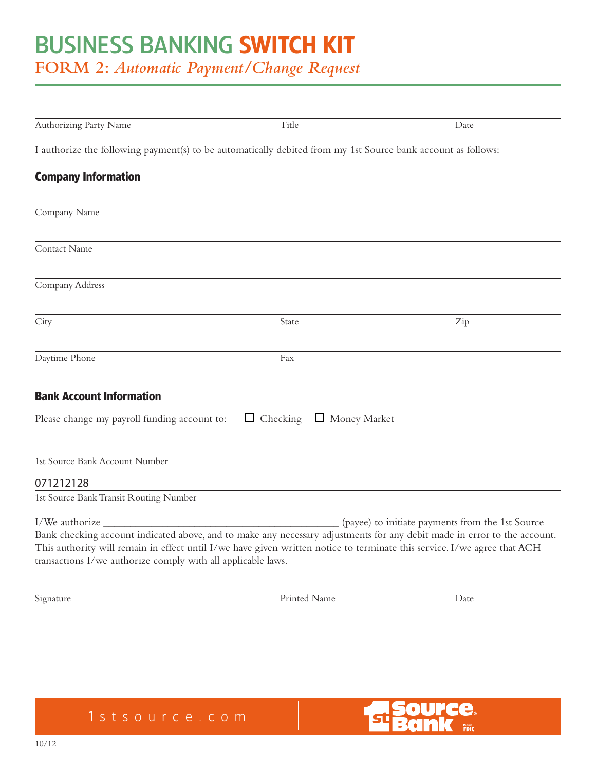**FORM 2:** *Automatic Payment/Change Request*

| Authorizing Party Name                                                                                       | Title           | Date                                                                                                                                                                                                                                                                                                     |
|--------------------------------------------------------------------------------------------------------------|-----------------|----------------------------------------------------------------------------------------------------------------------------------------------------------------------------------------------------------------------------------------------------------------------------------------------------------|
| I authorize the following payment(s) to be automatically debited from my 1st Source bank account as follows: |                 |                                                                                                                                                                                                                                                                                                          |
| <b>Company Information</b>                                                                                   |                 |                                                                                                                                                                                                                                                                                                          |
| Company Name                                                                                                 |                 |                                                                                                                                                                                                                                                                                                          |
| Contact Name                                                                                                 |                 |                                                                                                                                                                                                                                                                                                          |
| Company Address                                                                                              |                 |                                                                                                                                                                                                                                                                                                          |
| City                                                                                                         | State           | Zip                                                                                                                                                                                                                                                                                                      |
| Daytime Phone                                                                                                | Fax             |                                                                                                                                                                                                                                                                                                          |
| <b>Bank Account Information</b>                                                                              |                 |                                                                                                                                                                                                                                                                                                          |
| Please change my payroll funding account to:                                                                 | $\Box$ Checking | Money Market                                                                                                                                                                                                                                                                                             |
| 1st Source Bank Account Number                                                                               |                 |                                                                                                                                                                                                                                                                                                          |
| 071212128                                                                                                    |                 |                                                                                                                                                                                                                                                                                                          |
| 1st Source Bank Transit Routing Number                                                                       |                 |                                                                                                                                                                                                                                                                                                          |
| transactions I/we authorize comply with all applicable laws.                                                 |                 | (payee) to initiate payments from the 1st Source<br>Bank checking account indicated above, and to make any necessary adjustments for any debit made in error to the account.<br>This authority will remain in effect until I/we have given written notice to terminate this service. I/we agree that ACH |
| Signature                                                                                                    | Printed Name    | Date                                                                                                                                                                                                                                                                                                     |

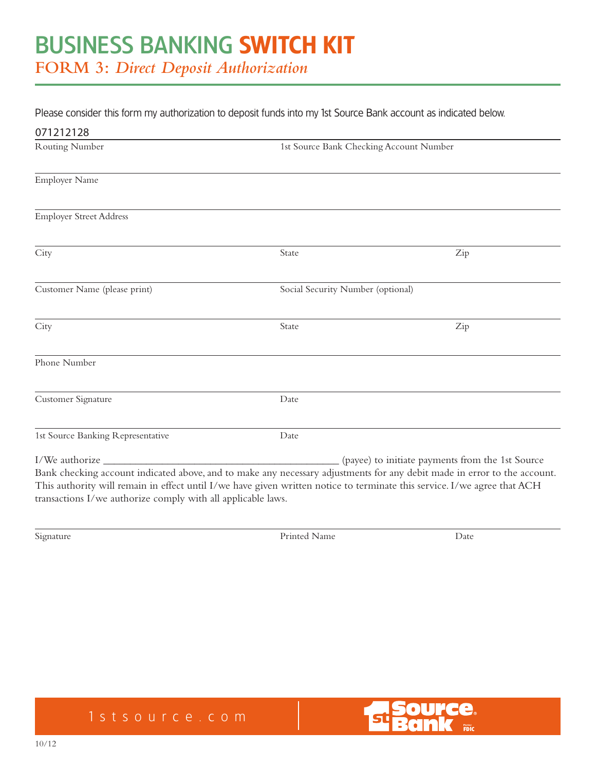#### Please consider this form my authorization to deposit funds into my 1st Source Bank account as indicated below.

| 071212128                                                                                                                                                                                                                                                                                                                              |                                         |                                                  |
|----------------------------------------------------------------------------------------------------------------------------------------------------------------------------------------------------------------------------------------------------------------------------------------------------------------------------------------|-----------------------------------------|--------------------------------------------------|
| <b>Routing Number</b>                                                                                                                                                                                                                                                                                                                  | 1st Source Bank Checking Account Number |                                                  |
| <b>Employer Name</b>                                                                                                                                                                                                                                                                                                                   |                                         |                                                  |
| <b>Employer Street Address</b>                                                                                                                                                                                                                                                                                                         |                                         |                                                  |
| City                                                                                                                                                                                                                                                                                                                                   | State                                   | Zip                                              |
| Customer Name (please print)                                                                                                                                                                                                                                                                                                           | Social Security Number (optional)       |                                                  |
| City                                                                                                                                                                                                                                                                                                                                   | State                                   | Zip                                              |
| Phone Number                                                                                                                                                                                                                                                                                                                           |                                         |                                                  |
| Customer Signature                                                                                                                                                                                                                                                                                                                     | Date                                    |                                                  |
| 1st Source Banking Representative                                                                                                                                                                                                                                                                                                      | Date                                    |                                                  |
| I/We authorize<br>Bank checking account indicated above, and to make any necessary adjustments for any debit made in error to the account.<br>This authority will remain in effect until I/we have given written notice to terminate this service. I/we agree that ACH<br>transactions I/we authorize comply with all applicable laws. |                                         | (payee) to initiate payments from the 1st Source |

Signature Date Printed Name Date



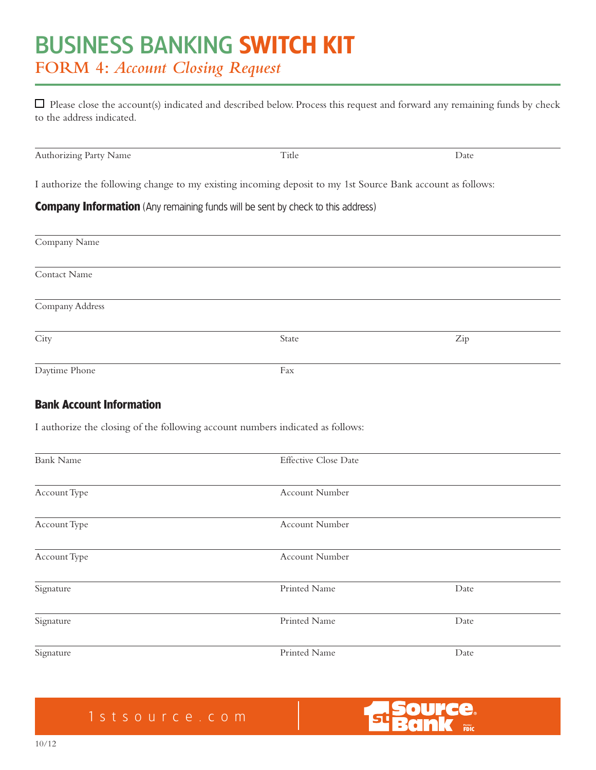### BUSINESS BANKING SWITCH KIT **FORM 4:** *Account Closing Request*

 $\Box$  Please close the account(s) indicated and described below. Process this request and forward any remaining funds by check to the address indicated.

| Authorizing Party Name                                                                                     | Title                | Date |
|------------------------------------------------------------------------------------------------------------|----------------------|------|
| I authorize the following change to my existing incoming deposit to my 1st Source Bank account as follows: |                      |      |
| <b>Company Information</b> (Any remaining funds will be sent by check to this address)                     |                      |      |
| Company Name                                                                                               |                      |      |
| Contact Name                                                                                               |                      |      |
| Company Address                                                                                            |                      |      |
| City                                                                                                       | State                | Zip  |
| Daytime Phone                                                                                              | Fax                  |      |
| <b>Bank Account Information</b>                                                                            |                      |      |
| I authorize the closing of the following account numbers indicated as follows:                             |                      |      |
| <b>Bank Name</b>                                                                                           | Effective Close Date |      |
| Account Type                                                                                               | Account Number       |      |
| Account Type                                                                                               | Account Number       |      |
| Account Type                                                                                               | Account Number       |      |
| Signature                                                                                                  | Printed Name         | Date |
| Signature                                                                                                  | Printed Name         | Date |

Signature Date Printed Name Date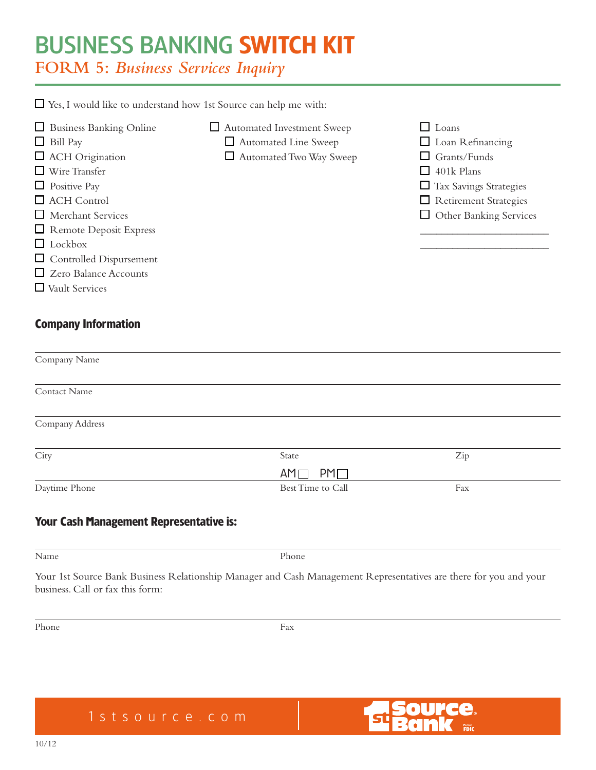**FORM 5:** *Business Services Inquiry*

 $\Box$  Yes, I would like to understand how 1st Source can help me with:

- $\Box$  Business Banking Online  $\Box$  Automated Investment Sweep  $\Box$  Loans  $\Box$  Bill Pay  $\Box$  Automated Line Sweep  $\Box$  Loan Refinancing  $\Box$  ACH Origination  $\Box$  Automated Two Way Sweep  $\Box$  Grants/Funds  $\Box$  Wire Transfer  $\Box$  401k Plans  $\Box$  Positive Pay  $\Box$  Tax Savings Strategies □ ACH Control Retirement Strategies □ Merchant Services □ Other Banking Services  $\Box$  Remote Deposit Express Lockbox \_\_\_\_\_\_\_\_\_\_\_\_\_\_\_\_\_\_\_\_\_\_\_\_ Controlled Dispursement Zero Balance Accounts
- Vault Services

### **Company Information**

| Company Name                            |                            |     |  |
|-----------------------------------------|----------------------------|-----|--|
|                                         |                            |     |  |
| Contact Name                            |                            |     |  |
|                                         |                            |     |  |
| Company Address                         |                            |     |  |
|                                         |                            |     |  |
| City                                    | State                      | Zip |  |
|                                         | $PM$ $\Box$<br>$AM$ $\Box$ |     |  |
| Daytime Phone                           | Best Time to Call          | Fax |  |
|                                         |                            |     |  |
| Vour Cach Managoment Depresentative is: |                            |     |  |

### **Your Cash Management Representative is:**

Your 1st Source Bank Business Relationship Manager and Cash Management Representatives are there for you and your business. Call or fax this form:

Phone **Fax**